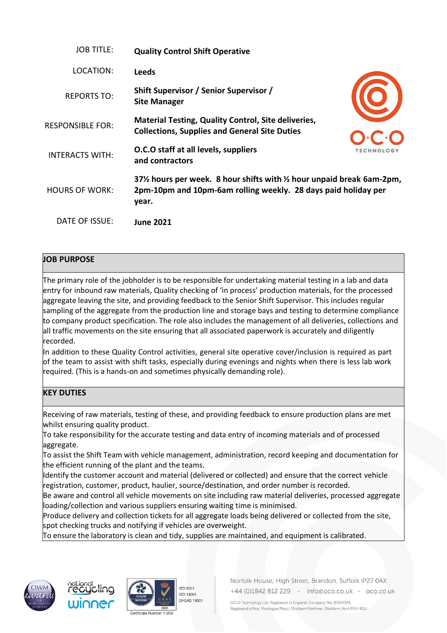| <b>JOB TITLE:</b>       | <b>Quality Control Shift Operative</b>                                                                                                         |                   |
|-------------------------|------------------------------------------------------------------------------------------------------------------------------------------------|-------------------|
| LOCATION:               | <b>Leeds</b>                                                                                                                                   |                   |
| <b>REPORTS TO:</b>      | Shift Supervisor / Senior Supervisor /<br><b>Site Manager</b>                                                                                  |                   |
| <b>RESPONSIBLE FOR:</b> | <b>Material Testing, Quality Control, Site deliveries,</b><br><b>Collections, Supplies and General Site Duties</b>                             |                   |
| <b>INTERACTS WITH:</b>  | O.C.O staff at all levels, suppliers<br>and contractors                                                                                        | <b>TECHNOLOGY</b> |
| <b>HOURS OF WORK:</b>   | 37% hours per week. 8 hour shifts with % hour unpaid break 6am-2pm,<br>2pm-10pm and 10pm-6am rolling weekly. 28 days paid holiday per<br>year. |                   |
| DATE OF ISSUE:          | <b>June 2021</b>                                                                                                                               |                   |

## **JOB PURPOSE**

The primary role of the jobholder is to be responsible for undertaking material testing in a lab and data entry for inbound raw materials, Quality checking of 'in process' production materials, for the processed aggregate leaving the site, and providing feedback to the Senior Shift Supervisor. This includes regular sampling of the aggregate from the production line and storage bays and testing to determine compliance to company product specification. The role also includes the management of all deliveries, collections and all traffic movements on the site ensuring that all associated paperwork is accurately and diligently recorded.

In addition to these Quality Control activities, general site operative cover/inclusion is required as part of the team to assist with shift tasks, especially during evenings and nights when there is less lab work required. (This is a hands-on and sometimes physically demanding role).

## **KEY DUTIES**

Receiving of raw materials, testing of these, and providing feedback to ensure production plans are met whilst ensuring quality product.

To take responsibility for the accurate testing and data entry of incoming materials and of processed aggregate.

To assist the Shift Team with vehicle management, administration, record keeping and documentation for the efficient running of the plant and the teams.

Identify the customer account and material (delivered or collected) and ensure that the correct vehicle registration, customer, product, haulier, source/destination, and order number is recorded.

Be aware and control all vehicle movements on site including raw material deliveries, processed aggregate loading/collection and various suppliers ensuring waiting time is minimised.

Produce delivery and collection tickets for all aggregate loads being delivered or collected from the site, spot checking trucks and notifying if vehicles are overweight.

To ensure the laboratory is clean and tidy, supplies are maintained, and equipment is calibrated.









Norfolk House, High Street, Brandon, Suffolk IP27 0AX +44 (0)1842 812 229 - info@oco.co.uk - oco.co.uk

O.C.O Technology Ltd. Registered in England. Company No: 07247345 Registered office: Montague Place, Chatham Maritime, Chatham, Kent ME4 4QU